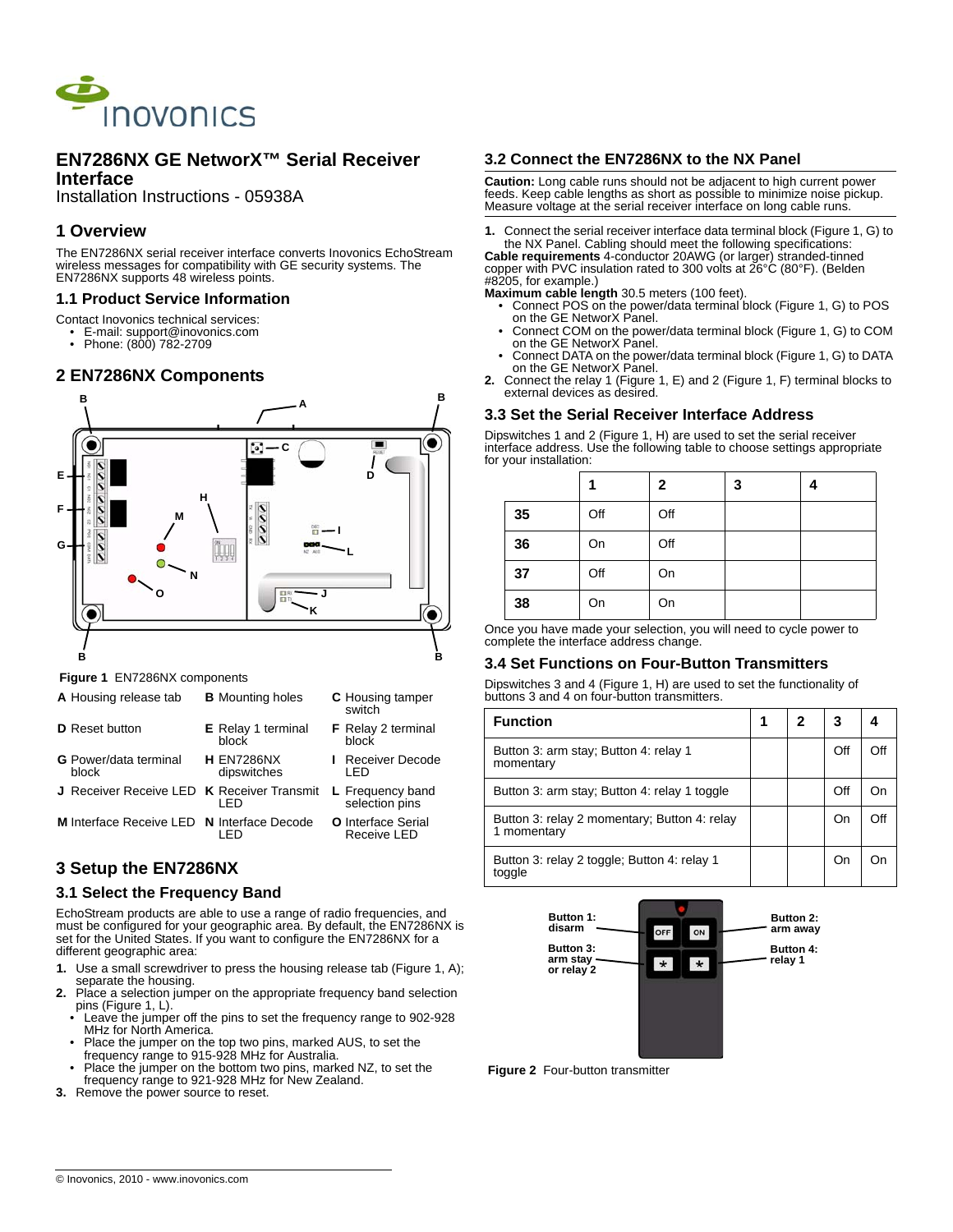

## **EN7286NX GE NetworX™ Serial Receiver Interface**

Installation Instructions - 05938A

# **1 Overview**

The EN7286NX serial receiver interface converts Inovonics EchoStream wireless messages for compatibility with GE security systems. The EN7286NX supports 48 wireless points.

#### **1.1 Product Service Information**

Contact Inovonics technical services:

- E-mail: support@inovonics.com Phone: (800) 782-2709
- 

## **2 EN7286NX Components**



#### **Figure 1** EN7286NX components

| A Housing release tab                      | <b>B</b> Mounting holes            | <b>C</b> Housing tamper<br>switch               |
|--------------------------------------------|------------------------------------|-------------------------------------------------|
| <b>D</b> Reset button                      | <b>E</b> Relay 1 terminal<br>block | <b>F</b> Relay 2 terminal<br>block              |
| <b>G</b> Power/data terminal<br>block      | <b>H</b> EN7286NX<br>dipswitches   | <b>I</b> Receiver Decode<br>I FD                |
| J Receiver Receive LED K Receiver Transmit | I FD                               | L Frequency band<br>selection pins              |
| M Interface Receive LED N Interface Decode |                                    | <b>O</b> Interface Serial<br><b>Receive LED</b> |

## **3 Setup the EN7286NX**

#### **3.1 Select the Frequency Band**

EchoStream products are able to use a range of radio frequencies, and must be configured for your geographic area. By default, the EN7286NX is set for the United States. If you want to configure the EN7286NX for a different geographic area:

- **1.** Use a small screwdriver to press the housing release tab (Figure 1, A); separate the housing.
- **2.** Place a selection jumper on the appropriate frequency band selection pins (Figure 1, L).<br> $\bullet$  Leave <sup>4</sup>
	- Leave the jumper off the pins to set the frequency range to 902-928 MHz for North America.
	- Place the jumper on the top two pins, marked AUS, to set the frequency range to 915-928 MHz for Australia.
- Place the jumper on the bottom two pins, marked NZ, to set the frequency range to 921-928 MHz for New Zealand. **3.** Remove the power source to reset.

# **3.3 Set the Serial Receiver Interface Address** Dipswitches 1 and 2 (Figure 1, H) are used to set the serial receiver

#8205, for example.)

interface address. Use the following table to choose settings appropriate for your installation:

**2.** Connect the relay 1 (Figure 1, E) and 2 (Figure 1, F) terminal blocks to

**3.2 Connect the EN7286NX to the NX Panel**

**Maximum cable length** 30.5 meters (100 feet).

on the GE NetworX Panel.

on the GE NetworX Panel.

external devices as desired.

**Caution:** Long cable runs should not be adjacent to high current power feeds. Keep cable lengths as short as possible to minimize noise pickup. Measure voltage at the serial receiver interface on long cable runs.

**1.** Connect the serial receiver interface data terminal block (Figure 1, G) to the NX Panel. Cabling should meet the following specifications: **Cable requirements** 4-conductor 20AWG (or larger) stranded-tinned copper with PVC insulation rated to 300 volts at 26°C (80°F). (Belden

• Connect POS on the power/data terminal block (Figure 1, G) to POS on the GE NetworX Panel. • Connect COM on the power/data terminal block (Figure 1, G) to COM

• Connect DATA on the power/data terminal block (Figure 1, G) to DATA

|    |     | $\mathbf{2}$ | 3 |  |
|----|-----|--------------|---|--|
| 35 | Off | Off          |   |  |
| 36 | On  | Off          |   |  |
| 37 | Off | On           |   |  |
| 38 | On  | On           |   |  |

Once you have made your selection, you will need to cycle power to complete the interface address change.

#### **3.4 Set Functions on Four-Button Transmitters**

Dipswitches 3 and 4 (Figure 1, H) are used to set the functionality of buttons 3 and 4 on four-button transmitters.

| <b>Function</b>                                             | 1 | 2 | 3   |     |
|-------------------------------------------------------------|---|---|-----|-----|
| Button 3: arm stay; Button 4: relay 1<br>momentary          |   |   | Off |     |
| Button 3: arm stay; Button 4: relay 1 toggle                |   |   | Off |     |
| Button 3: relay 2 momentary; Button 4: relay<br>1 momentary |   |   | On  | ∩ff |
| Button 3: relay 2 toggle; Button 4: relay 1<br>toggle       |   |   | On  |     |